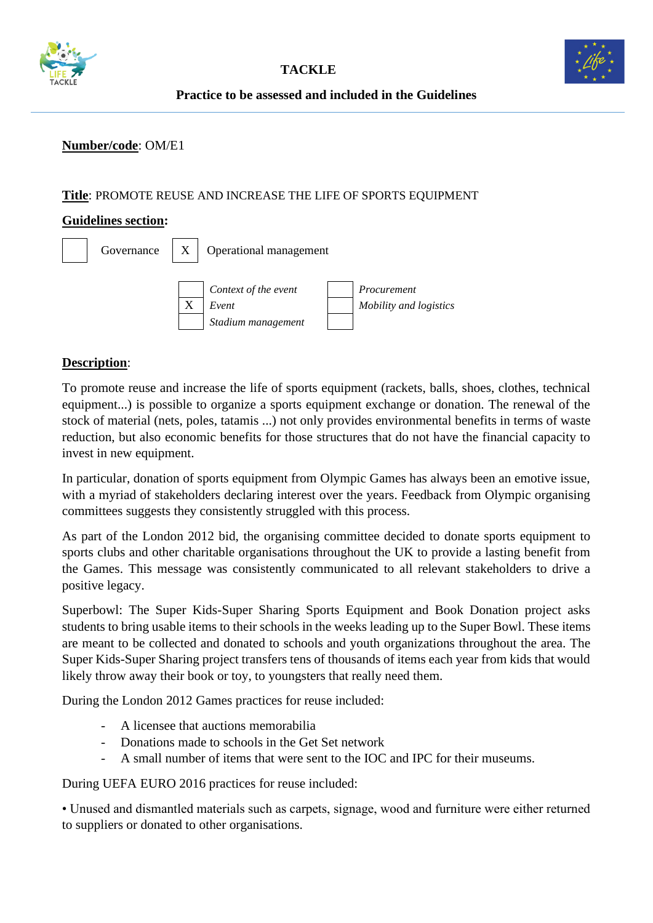



**Practice to be assessed and included in the Guidelines**

## **Number/code**: OM/E1

#### **Title**: PROMOTE REUSE AND INCREASE THE LIFE OF SPORTS EQUIPMENT

#### **Guidelines section:**

|  |   | Governance $\mid X \mid$ Operational management     |  |                                       |
|--|---|-----------------------------------------------------|--|---------------------------------------|
|  | X | Context of the event<br>Event<br>Stadium management |  | Procurement<br>Mobility and logistics |

### **Description**:

To promote reuse and increase the life of sports equipment (rackets, balls, shoes, clothes, technical equipment...) is possible to organize a sports equipment exchange or donation. The renewal of the stock of material (nets, poles, tatamis ...) not only provides environmental benefits in terms of waste reduction, but also economic benefits for those structures that do not have the financial capacity to invest in new equipment.

In particular, donation of sports equipment from Olympic Games has always been an emotive issue, with a myriad of stakeholders declaring interest over the years. Feedback from Olympic organising committees suggests they consistently struggled with this process.

As part of the London 2012 bid, the organising committee decided to donate sports equipment to sports clubs and other charitable organisations throughout the UK to provide a lasting benefit from the Games. This message was consistently communicated to all relevant stakeholders to drive a positive legacy.

Superbowl: The Super Kids-Super Sharing Sports Equipment and Book Donation project asks students to bring usable items to their schools in the weeks leading up to the Super Bowl. These items are meant to be collected and donated to schools and youth organizations throughout the area. The Super Kids-Super Sharing project transfers tens of thousands of items each year from kids that would likely throw away their book or toy, to youngsters that really need them.

During the London 2012 Games practices for reuse included:

- A licensee that auctions memorabilia
- Donations made to schools in the Get Set network
- A small number of items that were sent to the IOC and IPC for their museums.

During UEFA EURO 2016 practices for reuse included:

• Unused and dismantled materials such as carpets, signage, wood and furniture were either returned to suppliers or donated to other organisations.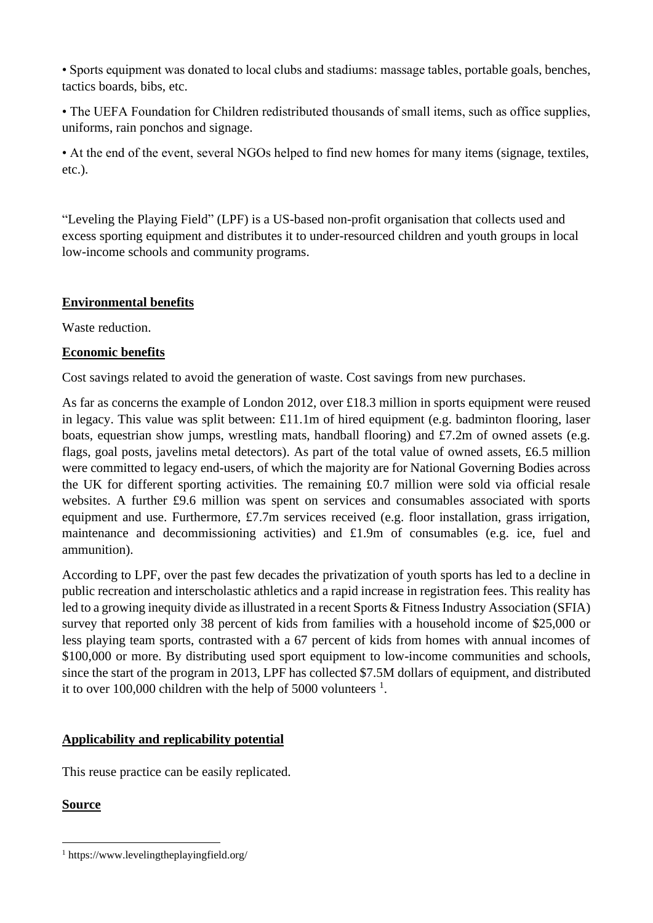• Sports equipment was donated to local clubs and stadiums: massage tables, portable goals, benches, tactics boards, bibs, etc.

• The UEFA Foundation for Children redistributed thousands of small items, such as office supplies, uniforms, rain ponchos and signage.

• At the end of the event, several NGOs helped to find new homes for many items (signage, textiles, etc.).

"Leveling the Playing Field" (LPF) is a US-based non-profit organisation that collects used and excess sporting equipment and distributes it to under-resourced children and youth groups in local low-income schools and community programs.

## **Environmental benefits**

Waste reduction.

# **Economic benefits**

Cost savings related to avoid the generation of waste. Cost savings from new purchases.

As far as concerns the example of London 2012, over £18.3 million in sports equipment were reused in legacy. This value was split between: £11.1m of hired equipment (e.g. badminton flooring, laser boats, equestrian show jumps, wrestling mats, handball flooring) and £7.2m of owned assets (e.g. flags, goal posts, javelins metal detectors). As part of the total value of owned assets, £6.5 million were committed to legacy end-users, of which the majority are for National Governing Bodies across the UK for different sporting activities. The remaining £0.7 million were sold via official resale websites. A further £9.6 million was spent on services and consumables associated with sports equipment and use. Furthermore, £7.7m services received (e.g. floor installation, grass irrigation, maintenance and decommissioning activities) and £1.9m of consumables (e.g. ice, fuel and ammunition).

According to LPF, over the past few decades the privatization of youth sports has led to a decline in public recreation and interscholastic athletics and a rapid increase in registration fees. This reality has led to a growing inequity divide as illustrated in a recent Sports & Fitness Industry Association (SFIA) survey that reported only 38 percent of kids from families with a household income of \$25,000 or less playing team sports, contrasted with a 67 percent of kids from homes with annual incomes of \$100,000 or more. By distributing used sport equipment to low-income communities and schools, since the start of the program in 2013, LPF has collected \$7.5M dollars of equipment, and distributed it to over 100,000 children with the help of 5000 volunteers  $<sup>1</sup>$ .</sup>

# **Applicability and replicability potential**

This reuse practice can be easily replicated.

# **Source**

<sup>1</sup> https://www.levelingtheplayingfield.org/